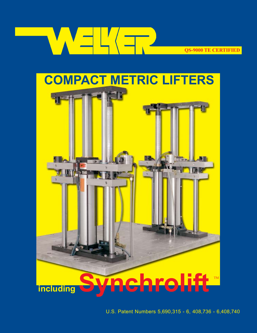

**CONFIDENTIFIED** 



- U.S. Patent Numbers 5,690,315 - 6, 408,736 - 6,408,740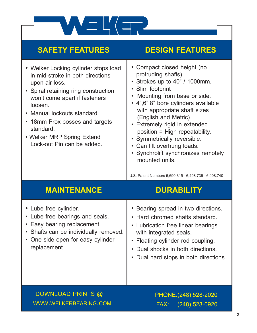

### **SAFETY FEATURES DESIGN FEATURES**

| • Welker Locking cylinder stops load<br>in mid-stroke in both directions<br>upon air loss.<br>• Spiral retaining ring construction<br>won't come apart if fasteners<br>loosen.<br>• Manual lockouts standard<br>18mm Prox bosses and targets<br>standard.<br>• Welker MRP Spring Extend<br>Lock-out Pin can be added. | • Compact closed height (no<br>protruding shafts).<br>Strokes up to 40" / 1000mm.<br>$\bullet$<br>Slim footprint<br>Mounting from base or side.<br>$\bullet$<br>• 4",6",8" bore cylinders available<br>with appropriate shaft sizes<br>(English and Metric)<br>Extremely rigid in extended<br>position = High repeatability.<br>• Symmetrically reversible.<br>Can lift overhung loads.<br>$\bullet$<br>• Synchrolift synchronizes remotely<br>mounted units.<br>U.S. Patent Numbers 5,690,315 - 6,408,736 - 6,408,740 |
|-----------------------------------------------------------------------------------------------------------------------------------------------------------------------------------------------------------------------------------------------------------------------------------------------------------------------|------------------------------------------------------------------------------------------------------------------------------------------------------------------------------------------------------------------------------------------------------------------------------------------------------------------------------------------------------------------------------------------------------------------------------------------------------------------------------------------------------------------------|
| <b>MAINTENANCE</b>                                                                                                                                                                                                                                                                                                    | <b>DURABILITY</b>                                                                                                                                                                                                                                                                                                                                                                                                                                                                                                      |
| • Lube free cylinder.<br>• Lube free bearings and seals.<br>Easy bearing replacement.<br>$\bullet$<br>• Shafts can be individually removed.<br>One side open for easy cylinder<br>$\bullet$                                                                                                                           | Bearing spread in two directions.<br>Hard chromed shafts standard.<br>$\bullet$<br>Lubrication free linear bearings<br>$\bullet$<br>with integrated seals.                                                                                                                                                                                                                                                                                                                                                             |
| replacement.                                                                                                                                                                                                                                                                                                          | Floating cylinder rod coupling.<br>• Dual shocks in both directions.<br>Dual hard stops in both directions.<br>$\bullet$                                                                                                                                                                                                                                                                                                                                                                                               |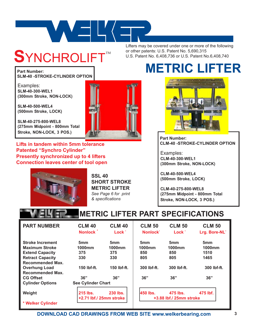

## **S**YNCHROLIFT

Lifters may be covered under one or more of the following or other patents: U.S. Patent No. 5,690,315 U.S. Patent No. 6,408,736 or U.S. Patent No.6,408,740

**Part Number: SLM-40 -STROKE-CYLINDER OPTION**

Examples: **SLM-40-300-WEL1 (300mm Stroke, NON-LOCK)**

**SLM-40-500-WEL4 (500mm Stroke, LOCK)**

**SLM-40-275-800-WEL8 (275mm Midpoint - 800mm Total Stroke, NON-LOCK, 3 POS.)**

**Lifts in tandem within 5mm tolerance Patented "Synchro Cylinder" Presently synchronized up to 4 lifters Connection leaves center of tool open**



**SSL 40 SHORT STROKE METRIC LIFTER** *See Page 6 for print & specifications*

## **METRIC LIFTER**



**Part Number: CLM-40 -STROKE-CYLINDER OPTION**

Examples: **CLM-40-300-WEL1 (300mm Stroke, NON-LOCK)**

**CLM-40-500-WEL4 (500mm Stroke, LOCK)**

**CLM-40-275-800-WEL8 (275mm Midpoint - 800mm Total Stroke, NON-LOCK, 3 POS.)**

### **METRIC LIFTER PART SPECIFICATIONS**

| <b>PART NUMBER</b>      | <b>CLM 40</b><br>Nonlock <sup>*</sup> | <b>CLM 40</b><br>Lock <sup>*</sup> | <b>CLM 50</b><br>Nonlock <sup>*</sup> | <b>CLM 50</b><br>Lock <sup>*</sup>  | <b>CLM 50</b><br>Lrg. Bore-NL* |
|-------------------------|---------------------------------------|------------------------------------|---------------------------------------|-------------------------------------|--------------------------------|
| <b>Stroke Increment</b> | 5 <sub>mm</sub>                       | 5 <sub>mm</sub>                    | 5 <sub>mm</sub>                       | 5 <sub>mm</sub>                     | 5mm                            |
| <b>Maximum Stroke</b>   | 1000mm                                | 1000mm                             | 1000mm                                | 1000mm                              | 1000mm                         |
| <b>Extend Capacity</b>  | 375                                   | 375                                | 850                                   | 850                                 | 1510                           |
| <b>Retract Capacity</b> | 330                                   | 330                                | 805                                   | 805                                 | 1465                           |
| <b>Recommended Max.</b> |                                       |                                    |                                       |                                     |                                |
| <b>Overhung Load</b>    | 150 lbf-ft.                           | 150 lbf-ft.                        | 300 lbf-ft.                           | 300 lbf-ft.                         | 300 lbf-ft.                    |
| Recommended Max.        |                                       |                                    |                                       |                                     |                                |
| <b>CG Offset</b>        | 36"                                   | 36"                                | 36"                                   | 36"                                 | 36"                            |
| <b>Cylinder Options</b> | <b>See Cylinder Chart</b>             |                                    |                                       |                                     |                                |
| Weight                  | 215 lbs.<br>+2.71 lbf./ 25mm stroke   | 230 lbs.                           | 450 lbs.                              | 475 lbs.<br>+3.88 lbf./ 25mm stroke | 475 lbf.                       |
| * Welker Cylinder       |                                       |                                    |                                       |                                     |                                |

**DOWNLOAD CAD DRAWINGS FROM WEB SITE www.welkerbearing.com**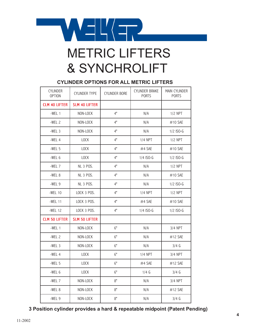

# & SYNCHROLIFT

### **CYLINDER OPTIONS FOR ALL METRIC LIFTERS**

| <b>CYLINDER</b><br><b>OPTION</b> | CYLINDER TYPE        | <b>CYLINDER BORE</b> | CYLINDER BRAKE<br><b>PORTS</b> | <b>MAIN CYLINDER</b><br><b>PORTS</b> |
|----------------------------------|----------------------|----------------------|--------------------------------|--------------------------------------|
| <b>CLM 40 LIFTER</b>             | <b>SLM 40 LIFTER</b> |                      |                                |                                      |
| $-WEL$ 1                         | NON-LOCK             | 4"                   | N/A                            | $1/2$ NPT                            |
| $-WEL2$                          | NON-LOCK             | 4"                   | N/A                            | #10 SAE                              |
| $-WEL3$                          | NON-LOCK             | 4"                   | N/A                            | $1/2$ ISO-G                          |
| -WEL 4                           | LOCK                 | 4"                   | 1/4 NPT                        | $1/2$ NPT                            |
| $-WEL5$                          | LOCK                 | 4"                   | $#4$ SAE                       | $#10$ SAE                            |
| -WEL 6                           | LOCK                 | 4"                   | 1/4 ISO-G                      | 1/2 ISO-G                            |
| -WEL 7                           | <b>NL 3 POS.</b>     | 4"                   | N/A                            | $1/2$ NPT                            |
| -WEL 8                           | NL 3 POS.            | 4"                   | N/A                            | $#10$ SAE                            |
| $-WEL9$                          | <b>NL 3 POS.</b>     | 4"                   | N/A                            | $1/2$ ISO-G                          |
| $-WEL$ 10                        | LOCK 3 POS.          | 4"                   | $1/4$ NPT                      | $1/2$ NPT                            |
| $-WEL$ 11                        | LOCK 3 POS.          | 4"                   | $#4$ SAE                       | $#10$ SAE                            |
| $-WEL$ 12                        | LOCK 3 POS.          | 4"                   | 1/4 ISO-G                      | 1/2 ISO-G                            |
| <b>CLM 50 LIFTER</b>             | <b>SLM 50 LIFTER</b> |                      |                                |                                      |
| $-WEL$ 1                         | NON-LOCK             | 6"                   | N/A                            | 3/4 NPT                              |
| $-WEL2$                          | NON-LOCK             | 6"                   | N/A                            | $#12$ SAE                            |
| $-WEL3$                          | NON-LOCK             | 6"                   | N/A                            | $3/4$ G                              |
| $-WEL$ 4                         | <b>LOCK</b>          | 6"                   | <b>1/4 NPT</b>                 | 3/4 NPT                              |
| $-WEL5$                          | LOCK                 | 6"                   | #4 SAE                         | #12 SAE                              |
| $-WEL6$                          | LOCK                 | 6"                   | $1/4$ G                        | $3/4$ G                              |
| -WEL 7                           | NON-LOCK             | 8"                   | N/A                            | 3/4 NPT                              |
| -WEL 8                           | NON-LOCK             | 8"                   | N/A                            | #12 SAE                              |
| -WEL 9                           | NON-LOCK             | 8"                   | N/A                            | $3/4$ G                              |

### **3 Position cylinder provides a hard & repeatable midpoint (Patent Pending)**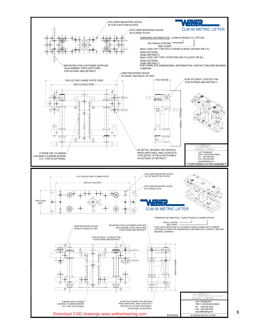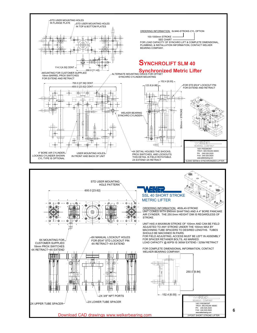

FOR COMPLETE DIMENSIONAL INFORMATION, CONTACT



Download CAD drawings www.welkerbearing.com

2X 3/8" NPT PORTS

A ி⊙

2X UPPER TUBE SPACER $\frac{1}{2}$   $\frac{1}{2}$  2X LOWER TUBE SPACER

H

围

ħ ۵

m

 $\Box \vdash \oplus \dashv \Box$ 

4X RETRACT~4X EXTEND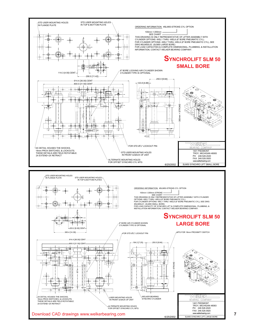